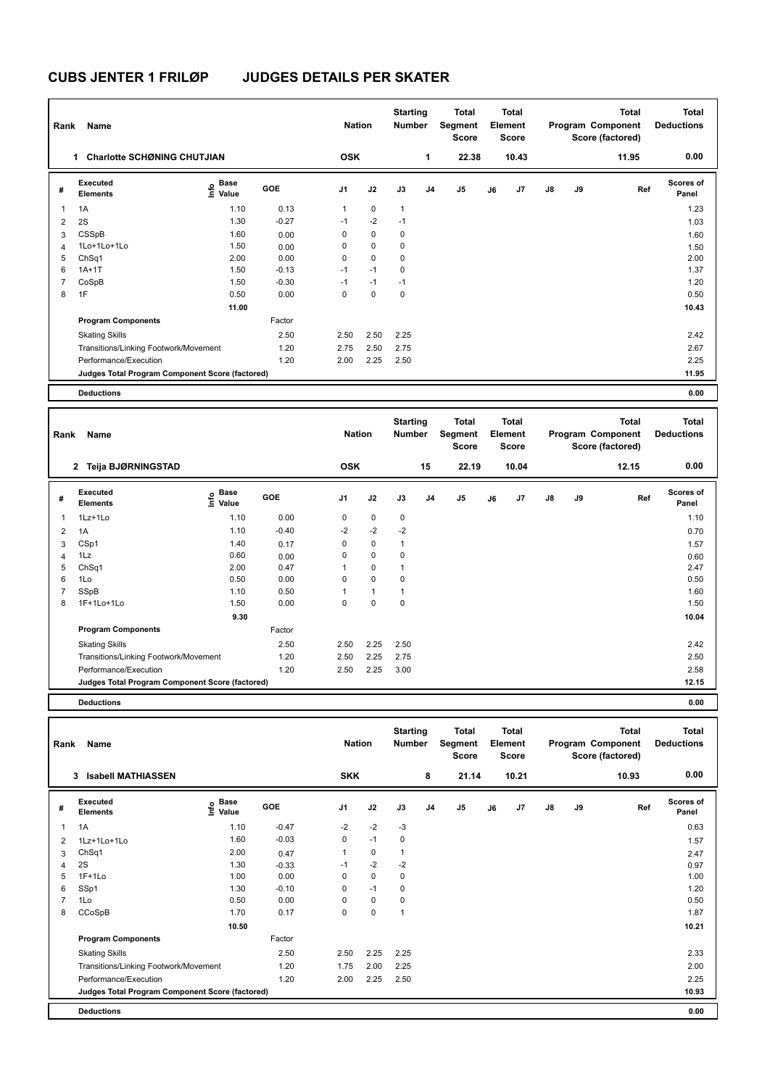| Rank                    | Name                                            |                       |         | <b>Nation</b> |             | <b>Starting</b><br><b>Number</b> |                | Total<br>Segment<br><b>Score</b> |    | <b>Total</b><br>Element<br><b>Score</b> |               |    | <b>Total</b><br>Program Component<br>Score (factored) | <b>Total</b><br><b>Deductions</b> |
|-------------------------|-------------------------------------------------|-----------------------|---------|---------------|-------------|----------------------------------|----------------|----------------------------------|----|-----------------------------------------|---------------|----|-------------------------------------------------------|-----------------------------------|
|                         | <b>Charlotte SCHØNING CHUTJIAN</b><br>1.        |                       |         | <b>OSK</b>    |             |                                  | 1              | 22.38                            |    | 10.43                                   |               |    | 11.95                                                 | 0.00                              |
| #                       | Executed<br><b>Elements</b>                     | Base<br>١mfo<br>Value | GOE     | J1            | J2          | J3                               | J <sub>4</sub> | J5                               | J6 | J7                                      | $\mathsf{J}8$ | J9 | Ref                                                   | <b>Scores of</b><br>Panel         |
| $\overline{\mathbf{1}}$ | 1A                                              | 1.10                  | 0.13    | 1             | $\mathbf 0$ | $\mathbf{1}$                     |                |                                  |    |                                         |               |    |                                                       | 1.23                              |
| $\overline{2}$          | 2S                                              | 1.30                  | $-0.27$ | $-1$          | $-2$        | $-1$                             |                |                                  |    |                                         |               |    |                                                       | 1.03                              |
| 3                       | CSSpB                                           | 1.60                  | 0.00    | 0             | 0           | 0                                |                |                                  |    |                                         |               |    |                                                       | 1.60                              |
| $\overline{4}$          | 1Lo+1Lo+1Lo                                     | 1.50                  | 0.00    | 0             | $\mathbf 0$ | $\mathbf 0$                      |                |                                  |    |                                         |               |    |                                                       | 1.50                              |
| 5                       | ChSq1                                           | 2.00                  | 0.00    | 0             | $\mathbf 0$ | 0                                |                |                                  |    |                                         |               |    |                                                       | 2.00                              |
| 6                       | $1A+1T$                                         | 1.50                  | $-0.13$ | $-1$          | $-1$        | $\mathbf 0$                      |                |                                  |    |                                         |               |    |                                                       | 1.37                              |
| 7                       | CoSpB                                           | 1.50                  | $-0.30$ | $-1$          | $-1$        | $-1$                             |                |                                  |    |                                         |               |    |                                                       | 1.20                              |
| 8                       | 1F                                              | 0.50                  | 0.00    | 0             | $\mathbf 0$ | $\mathbf 0$                      |                |                                  |    |                                         |               |    |                                                       | 0.50                              |
|                         |                                                 | 11.00                 |         |               |             |                                  |                |                                  |    |                                         |               |    |                                                       | 10.43                             |
|                         | <b>Program Components</b>                       |                       | Factor  |               |             |                                  |                |                                  |    |                                         |               |    |                                                       |                                   |
|                         | <b>Skating Skills</b>                           |                       | 2.50    | 2.50          | 2.50        | 2.25                             |                |                                  |    |                                         |               |    |                                                       | 2.42                              |
|                         | Transitions/Linking Footwork/Movement           |                       | 1.20    | 2.75          | 2.50        | 2.75                             |                |                                  |    |                                         |               |    |                                                       | 2.67                              |
|                         | Performance/Execution                           |                       | 1.20    | 2.00          | 2.25        | 2.50                             |                |                                  |    |                                         |               |    |                                                       | 2.25                              |
|                         | Judges Total Program Component Score (factored) |                       |         |               |             |                                  |                |                                  |    |                                         |               |    |                                                       | 11.95                             |
|                         | <b>Deductions</b>                               |                       |         |               |             |                                  |                |                                  |    |                                         |               |    |                                                       | 0.00                              |

| Rank           | Name                                            |                           |            | <b>Nation</b>  |              | <b>Starting</b><br><b>Number</b> |    | Total<br>Segment<br><b>Score</b> |    | <b>Total</b><br>Element<br><b>Score</b> |    |    | <b>Total</b><br>Program Component<br>Score (factored) | <b>Total</b><br><b>Deductions</b> |
|----------------|-------------------------------------------------|---------------------------|------------|----------------|--------------|----------------------------------|----|----------------------------------|----|-----------------------------------------|----|----|-------------------------------------------------------|-----------------------------------|
|                | 2 Teija BJØRNINGSTAD                            |                           |            | <b>OSK</b>     |              |                                  | 15 | 22.19                            |    | 10.04                                   |    |    | 12.15                                                 | 0.00                              |
| #              | Executed<br><b>Elements</b>                     | Base<br>e Base<br>⊆ Value | <b>GOE</b> | J <sub>1</sub> | J2           | J3                               | J4 | J <sub>5</sub>                   | J6 | J7                                      | J8 | J9 | Ref                                                   | <b>Scores of</b><br>Panel         |
| 1              | 1Lz+1Lo                                         | 1.10                      | 0.00       | 0              | $\mathbf 0$  | 0                                |    |                                  |    |                                         |    |    |                                                       | 1.10                              |
| 2              | 1A                                              | 1.10                      | $-0.40$    | $-2$           | $-2$         | $-2$                             |    |                                  |    |                                         |    |    |                                                       | 0.70                              |
| 3              | CSp1                                            | 1.40                      | 0.17       | 0              | $\mathbf 0$  | 1                                |    |                                  |    |                                         |    |    |                                                       | 1.57                              |
| 4              | 1Lz                                             | 0.60                      | 0.00       | 0              | $\pmb{0}$    | 0                                |    |                                  |    |                                         |    |    |                                                       | 0.60                              |
| 5              | ChSq1                                           | 2.00                      | 0.47       |                | $\mathbf 0$  |                                  |    |                                  |    |                                         |    |    |                                                       | 2.47                              |
| 6              | 1Lo                                             | 0.50                      | 0.00       | 0              | $\mathbf 0$  | 0                                |    |                                  |    |                                         |    |    |                                                       | 0.50                              |
| $\overline{7}$ | SSpB                                            | 1.10                      | 0.50       | 1              | $\mathbf{1}$ | 1                                |    |                                  |    |                                         |    |    |                                                       | 1.60                              |
| 8              | 1F+1Lo+1Lo                                      | 1.50                      | 0.00       | 0              | $\mathbf 0$  | 0                                |    |                                  |    |                                         |    |    |                                                       | 1.50                              |
|                |                                                 | 9.30                      |            |                |              |                                  |    |                                  |    |                                         |    |    |                                                       | 10.04                             |
|                | <b>Program Components</b>                       |                           | Factor     |                |              |                                  |    |                                  |    |                                         |    |    |                                                       |                                   |
|                | <b>Skating Skills</b>                           |                           | 2.50       | 2.50           | 2.25         | 2.50                             |    |                                  |    |                                         |    |    |                                                       | 2.42                              |
|                | Transitions/Linking Footwork/Movement           |                           | 1.20       | 2.50           | 2.25         | 2.75                             |    |                                  |    |                                         |    |    |                                                       | 2.50                              |
|                | Performance/Execution                           |                           | 1.20       | 2.50           | 2.25         | 3.00                             |    |                                  |    |                                         |    |    |                                                       | 2.58                              |
|                | Judges Total Program Component Score (factored) |                           |            |                |              |                                  |    |                                  |    |                                         |    |    |                                                       | 12.15                             |
|                |                                                 |                           |            |                |              |                                  |    |                                  |    |                                         |    |    |                                                       |                                   |

**Deductions 0.00**

| Rank | Name                                            |                                           |         | <b>Nation</b>  |             | <b>Starting</b><br><b>Number</b> |    | Total<br>Segment<br><b>Score</b> |    | <b>Total</b><br>Element<br><b>Score</b> |    |    | <b>Total</b><br>Program Component<br>Score (factored) | <b>Total</b><br><b>Deductions</b> |
|------|-------------------------------------------------|-------------------------------------------|---------|----------------|-------------|----------------------------------|----|----------------------------------|----|-----------------------------------------|----|----|-------------------------------------------------------|-----------------------------------|
|      | <b>Isabell MATHIASSEN</b><br>3                  |                                           |         | <b>SKK</b>     |             |                                  | 8  | 21.14                            |    | 10.21                                   |    |    | 10.93                                                 | 0.00                              |
| #    | <b>Executed</b><br><b>Elements</b>              | $\frac{e}{E}$ Base<br>$\frac{E}{E}$ Value | GOE     | J <sub>1</sub> | J2          | J3                               | J4 | J <sub>5</sub>                   | J6 | J <sub>7</sub>                          | J8 | J9 | Ref                                                   | <b>Scores of</b><br>Panel         |
| 1    | 1A                                              | 1.10                                      | $-0.47$ | $-2$           | $-2$        | -3                               |    |                                  |    |                                         |    |    |                                                       | 0.63                              |
| 2    | 1Lz+1Lo+1Lo                                     | 1.60                                      | $-0.03$ | 0              | $-1$        | 0                                |    |                                  |    |                                         |    |    |                                                       | 1.57                              |
| 3    | ChSq1                                           | 2.00                                      | 0.47    | 1              | $\mathbf 0$ | 1                                |    |                                  |    |                                         |    |    |                                                       | 2.47                              |
| 4    | 2S                                              | 1.30                                      | $-0.33$ | $-1$           | $-2$        | $-2$                             |    |                                  |    |                                         |    |    |                                                       | 0.97                              |
| 5    | $1F+1Lo$                                        | 1.00                                      | 0.00    | 0              | $\mathbf 0$ | 0                                |    |                                  |    |                                         |    |    |                                                       | 1.00                              |
| 6    | SSp1                                            | 1.30                                      | $-0.10$ | 0              | $-1$        | 0                                |    |                                  |    |                                         |    |    |                                                       | 1.20                              |
|      | 1Lo                                             | 0.50                                      | 0.00    | 0              | $\mathbf 0$ | 0                                |    |                                  |    |                                         |    |    |                                                       | 0.50                              |
| 8    | CCoSpB                                          | 1.70                                      | 0.17    | 0              | $\mathbf 0$ | 1                                |    |                                  |    |                                         |    |    |                                                       | 1.87                              |
|      |                                                 | 10.50                                     |         |                |             |                                  |    |                                  |    |                                         |    |    |                                                       | 10.21                             |
|      | <b>Program Components</b>                       |                                           | Factor  |                |             |                                  |    |                                  |    |                                         |    |    |                                                       |                                   |
|      | <b>Skating Skills</b>                           |                                           | 2.50    | 2.50           | 2.25        | 2.25                             |    |                                  |    |                                         |    |    |                                                       | 2.33                              |
|      | Transitions/Linking Footwork/Movement           |                                           | 1.20    | 1.75           | 2.00        | 2.25                             |    |                                  |    |                                         |    |    |                                                       | 2.00                              |
|      | Performance/Execution                           |                                           | 1.20    | 2.00           | 2.25        | 2.50                             |    |                                  |    |                                         |    |    |                                                       | 2.25                              |
|      | Judges Total Program Component Score (factored) |                                           |         |                |             |                                  |    |                                  |    |                                         |    |    |                                                       | 10.93                             |
|      | <b>Deductions</b>                               |                                           |         |                |             |                                  |    |                                  |    |                                         |    |    |                                                       | 0.00                              |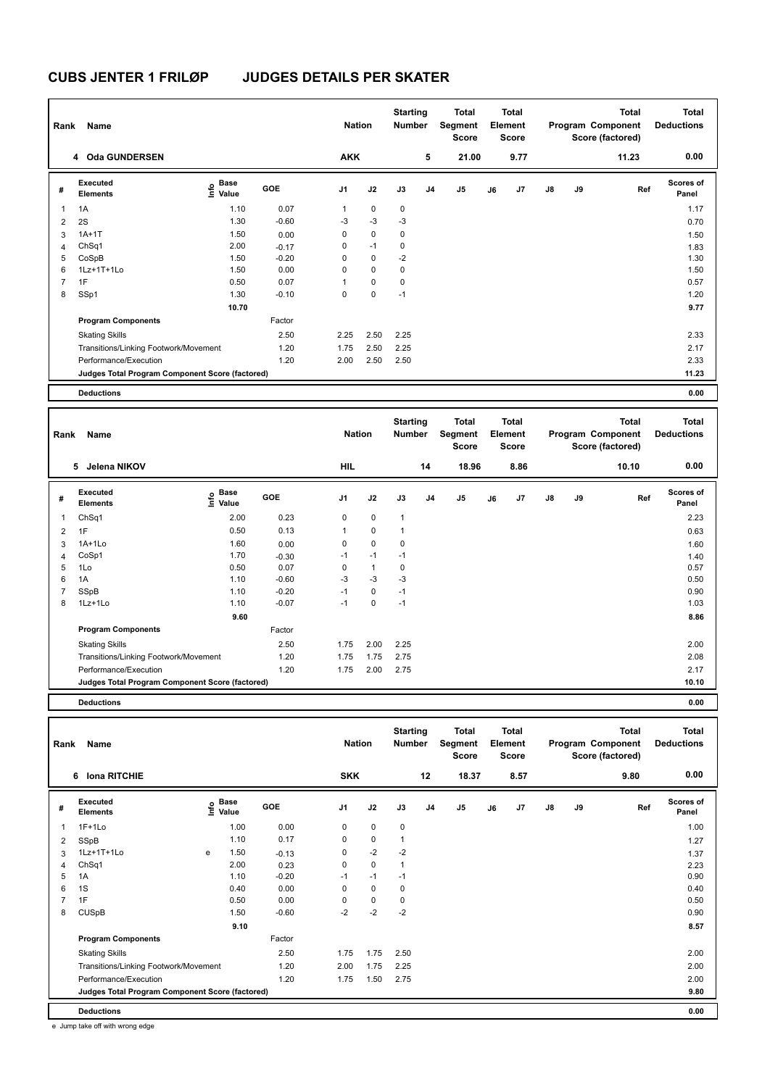| Rank                    | Name                                            |                     |            | <b>Nation</b> |             | <b>Starting</b><br><b>Number</b> |                | Total<br>Segment<br><b>Score</b> |    | <b>Total</b><br>Element<br><b>Score</b> |               |    | Total<br>Program Component<br>Score (factored) | <b>Total</b><br><b>Deductions</b> |
|-------------------------|-------------------------------------------------|---------------------|------------|---------------|-------------|----------------------------------|----------------|----------------------------------|----|-----------------------------------------|---------------|----|------------------------------------------------|-----------------------------------|
|                         | 4 Oda GUNDERSEN                                 |                     |            | <b>AKK</b>    |             |                                  | 5              | 21.00                            |    | 9.77                                    |               |    | 11.23                                          | 0.00                              |
| #                       | Executed<br><b>Elements</b>                     | Base<br>١ų<br>Value | <b>GOE</b> | J1            | J2          | J3                               | J <sub>4</sub> | J <sub>5</sub>                   | J6 | J7                                      | $\mathsf{J}8$ | J9 | Ref                                            | <b>Scores of</b><br>Panel         |
| $\overline{\mathbf{1}}$ | 1A                                              | 1.10                | 0.07       | 1             | $\mathbf 0$ | $\mathbf 0$                      |                |                                  |    |                                         |               |    |                                                | 1.17                              |
| $\overline{2}$          | 2S                                              | 1.30                | $-0.60$    | $-3$          | $-3$        | $-3$                             |                |                                  |    |                                         |               |    |                                                | 0.70                              |
| 3                       | $1A+1T$                                         | 1.50                | 0.00       | 0             | 0           | 0                                |                |                                  |    |                                         |               |    |                                                | 1.50                              |
| $\overline{4}$          | ChSq1                                           | 2.00                | $-0.17$    | 0             | $-1$        | 0                                |                |                                  |    |                                         |               |    |                                                | 1.83                              |
| 5                       | CoSpB                                           | 1.50                | $-0.20$    | 0             | 0           | $-2$                             |                |                                  |    |                                         |               |    |                                                | 1.30                              |
| 6                       | $1Lz+1T+1L0$                                    | 1.50                | 0.00       | 0             | $\mathbf 0$ | 0                                |                |                                  |    |                                         |               |    |                                                | 1.50                              |
| $\overline{7}$          | 1F                                              | 0.50                | 0.07       | 1             | 0           | 0                                |                |                                  |    |                                         |               |    |                                                | 0.57                              |
| 8                       | SSp1                                            | 1.30                | $-0.10$    | 0             | 0           | $-1$                             |                |                                  |    |                                         |               |    |                                                | 1.20                              |
|                         |                                                 | 10.70               |            |               |             |                                  |                |                                  |    |                                         |               |    |                                                | 9.77                              |
|                         | <b>Program Components</b>                       |                     | Factor     |               |             |                                  |                |                                  |    |                                         |               |    |                                                |                                   |
|                         | <b>Skating Skills</b>                           |                     | 2.50       | 2.25          | 2.50        | 2.25                             |                |                                  |    |                                         |               |    |                                                | 2.33                              |
|                         | Transitions/Linking Footwork/Movement           |                     | 1.20       | 1.75          | 2.50        | 2.25                             |                |                                  |    |                                         |               |    |                                                | 2.17                              |
|                         | Performance/Execution                           |                     | 1.20       | 2.00          | 2.50        | 2.50                             |                |                                  |    |                                         |               |    |                                                | 2.33                              |
|                         | Judges Total Program Component Score (factored) |                     |            |               |             |                                  |                |                                  |    |                                         |               |    |                                                | 11.23                             |
|                         | <b>Deductions</b>                               |                     |            |               |             |                                  |                |                                  |    |                                         |               |    |                                                | 0.00                              |

| Rank           | Name                                            |                           |         | <b>Nation</b> |              | <b>Starting</b><br><b>Number</b> |                | <b>Total</b><br>Segment<br><b>Score</b> |    | <b>Total</b><br>Element<br><b>Score</b> |               |    | <b>Total</b><br>Program Component<br>Score (factored) | <b>Total</b><br><b>Deductions</b> |
|----------------|-------------------------------------------------|---------------------------|---------|---------------|--------------|----------------------------------|----------------|-----------------------------------------|----|-----------------------------------------|---------------|----|-------------------------------------------------------|-----------------------------------|
|                | Jelena NIKOV<br>5                               |                           |         | <b>HIL</b>    |              |                                  | 14             | 18.96                                   |    | 8.86                                    |               |    | 10.10                                                 | 0.00                              |
| #              | Executed<br><b>Elements</b>                     | Base<br>e Base<br>⊆ Value | GOE     | J1            | J2           | J3                               | J <sub>4</sub> | J <sub>5</sub>                          | J6 | J <sub>7</sub>                          | $\mathsf{J}8$ | J9 | Ref                                                   | <b>Scores of</b><br>Panel         |
| 1              | ChSq1                                           | 2.00                      | 0.23    | 0             | $\mathbf 0$  | $\mathbf{1}$                     |                |                                         |    |                                         |               |    |                                                       | 2.23                              |
| $\overline{2}$ | 1F                                              | 0.50                      | 0.13    | 1             | $\mathbf 0$  | $\mathbf{1}$                     |                |                                         |    |                                         |               |    |                                                       | 0.63                              |
| 3              | $1A+1L0$                                        | 1.60                      | 0.00    | 0             | $\mathbf 0$  | $\mathbf 0$                      |                |                                         |    |                                         |               |    |                                                       | 1.60                              |
| $\overline{4}$ | CoSp1                                           | 1.70                      | $-0.30$ | $-1$          | $-1$         | $-1$                             |                |                                         |    |                                         |               |    |                                                       | 1.40                              |
| 5              | 1Lo                                             | 0.50                      | 0.07    | 0             | $\mathbf{1}$ | $\mathbf 0$                      |                |                                         |    |                                         |               |    |                                                       | 0.57                              |
| 6              | 1A                                              | 1.10                      | $-0.60$ | $-3$          | $-3$         | $-3$                             |                |                                         |    |                                         |               |    |                                                       | 0.50                              |
| $\overline{7}$ | SSpB                                            | 1.10                      | $-0.20$ | $-1$          | $\mathbf 0$  | $-1$                             |                |                                         |    |                                         |               |    |                                                       | 0.90                              |
| 8              | 1Lz+1Lo                                         | 1.10                      | $-0.07$ | $-1$          | $\mathbf 0$  | $-1$                             |                |                                         |    |                                         |               |    |                                                       | 1.03                              |
|                |                                                 | 9.60                      |         |               |              |                                  |                |                                         |    |                                         |               |    |                                                       | 8.86                              |
|                | <b>Program Components</b>                       |                           | Factor  |               |              |                                  |                |                                         |    |                                         |               |    |                                                       |                                   |
|                | <b>Skating Skills</b>                           |                           | 2.50    | 1.75          | 2.00         | 2.25                             |                |                                         |    |                                         |               |    |                                                       | 2.00                              |
|                | Transitions/Linking Footwork/Movement           |                           | 1.20    | 1.75          | 1.75         | 2.75                             |                |                                         |    |                                         |               |    |                                                       | 2.08                              |
|                | Performance/Execution                           |                           | 1.20    | 1.75          | 2.00         | 2.75                             |                |                                         |    |                                         |               |    |                                                       | 2.17                              |
|                | Judges Total Program Component Score (factored) |                           |         |               |              |                                  |                |                                         |    |                                         |               |    |                                                       | 10.10                             |
|                |                                                 |                           |         |               |              |                                  |                |                                         |    |                                         |               |    |                                                       |                                   |

**Deductions 0.00**

| Rank | Name                                            |   |                                           |            | <b>Nation</b>  |             | <b>Starting</b><br><b>Number</b> |                | <b>Total</b><br>Segment<br><b>Score</b> |    | <b>Total</b><br>Element<br><b>Score</b> |               |    | <b>Total</b><br>Program Component<br>Score (factored) | <b>Total</b><br><b>Deductions</b> |
|------|-------------------------------------------------|---|-------------------------------------------|------------|----------------|-------------|----------------------------------|----------------|-----------------------------------------|----|-----------------------------------------|---------------|----|-------------------------------------------------------|-----------------------------------|
|      | <b>Iona RITCHIE</b><br>6                        |   |                                           |            | <b>SKK</b>     |             |                                  | 12             | 18.37                                   |    | 8.57                                    |               |    | 9.80                                                  | 0.00                              |
| #    | Executed<br><b>Elements</b>                     |   | $\frac{6}{5}$ Base<br>$\frac{1}{5}$ Value | <b>GOE</b> | J <sub>1</sub> | J2          | J3                               | J <sub>4</sub> | J5                                      | J6 | J7                                      | $\mathsf{J}8$ | J9 | Ref                                                   | <b>Scores of</b><br>Panel         |
| 1    | $1F+1Lo$                                        |   | 1.00                                      | 0.00       | $\mathbf 0$    | $\mathbf 0$ | $\mathbf 0$                      |                |                                         |    |                                         |               |    |                                                       | 1.00                              |
| 2    | SSpB                                            |   | 1.10                                      | 0.17       | 0              | $\pmb{0}$   | $\mathbf{1}$                     |                |                                         |    |                                         |               |    |                                                       | 1.27                              |
| 3    | 1Lz+1T+1Lo                                      | e | 1.50                                      | $-0.13$    | 0              | $-2$        | $-2$                             |                |                                         |    |                                         |               |    |                                                       | 1.37                              |
| 4    | ChSq1                                           |   | 2.00                                      | 0.23       | 0              | $\mathbf 0$ |                                  |                |                                         |    |                                         |               |    |                                                       | 2.23                              |
| 5    | 1A                                              |   | 1.10                                      | $-0.20$    | $-1$           | $-1$        | $-1$                             |                |                                         |    |                                         |               |    |                                                       | 0.90                              |
| 6    | 1S                                              |   | 0.40                                      | 0.00       | 0              | $\mathbf 0$ | 0                                |                |                                         |    |                                         |               |    |                                                       | 0.40                              |
|      | 1F                                              |   | 0.50                                      | 0.00       | 0              | $\mathbf 0$ | 0                                |                |                                         |    |                                         |               |    |                                                       | 0.50                              |
| 8    | <b>CUSpB</b>                                    |   | 1.50                                      | $-0.60$    | $-2$           | $-2$        | $-2$                             |                |                                         |    |                                         |               |    |                                                       | 0.90                              |
|      |                                                 |   | 9.10                                      |            |                |             |                                  |                |                                         |    |                                         |               |    |                                                       | 8.57                              |
|      | <b>Program Components</b>                       |   |                                           | Factor     |                |             |                                  |                |                                         |    |                                         |               |    |                                                       |                                   |
|      | <b>Skating Skills</b>                           |   |                                           | 2.50       | 1.75           | 1.75        | 2.50                             |                |                                         |    |                                         |               |    |                                                       | 2.00                              |
|      | Transitions/Linking Footwork/Movement           |   |                                           | 1.20       | 2.00           | 1.75        | 2.25                             |                |                                         |    |                                         |               |    |                                                       | 2.00                              |
|      | Performance/Execution                           |   |                                           | 1.20       | 1.75           | 1.50        | 2.75                             |                |                                         |    |                                         |               |    |                                                       | 2.00                              |
|      | Judges Total Program Component Score (factored) |   |                                           |            |                |             |                                  |                |                                         |    |                                         |               |    |                                                       | 9.80                              |
|      | <b>Deductions</b>                               |   |                                           |            |                |             |                                  |                |                                         |    |                                         |               |    |                                                       | 0.00                              |

e Jump take off with wrong edge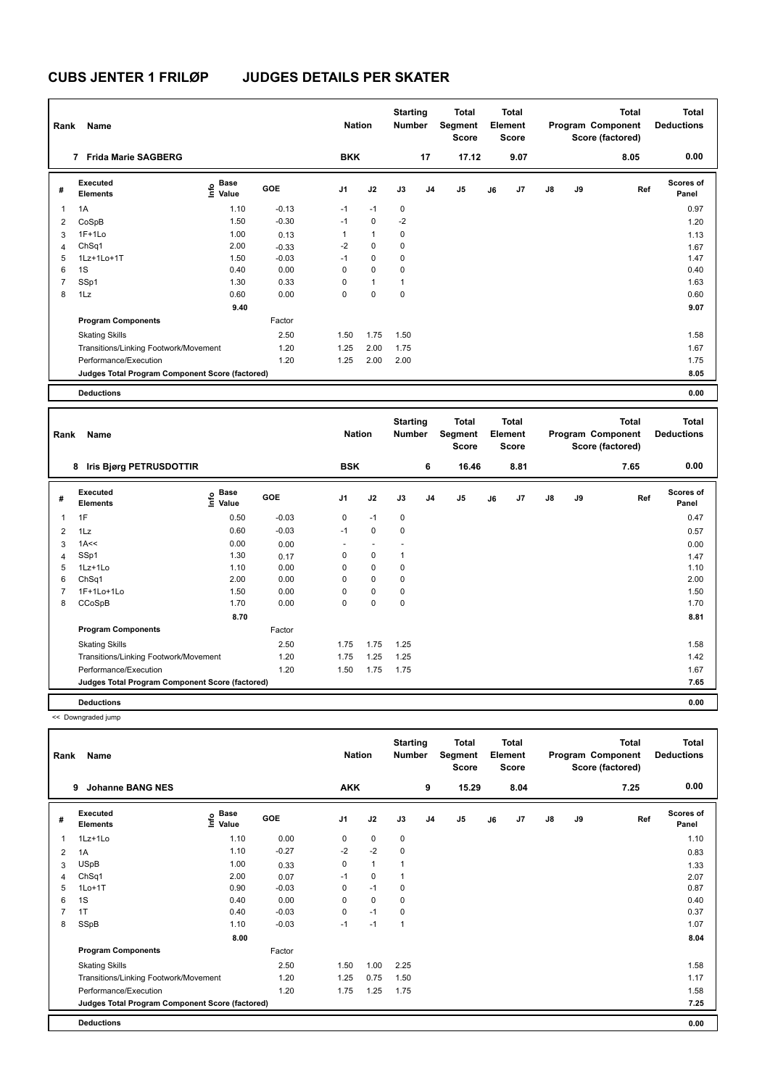| Rank                    | Name                                            |                           |         | <b>Nation</b> |              | <b>Starting</b><br>Number |                | <b>Total</b><br>Segment<br><b>Score</b> |    | <b>Total</b><br>Element<br>Score |               |    | <b>Total</b><br>Program Component<br>Score (factored) | <b>Total</b><br><b>Deductions</b> |
|-------------------------|-------------------------------------------------|---------------------------|---------|---------------|--------------|---------------------------|----------------|-----------------------------------------|----|----------------------------------|---------------|----|-------------------------------------------------------|-----------------------------------|
|                         | 7 Frida Marie SAGBERG                           |                           |         | <b>BKK</b>    |              |                           | 17             | 17.12                                   |    | 9.07                             |               |    | 8.05                                                  | 0.00                              |
| #                       | Executed<br><b>Elements</b>                     | Base<br>o Base<br>E Value | GOE     | J1            | J2           | J3                        | J <sub>4</sub> | J <sub>5</sub>                          | J6 | J7                               | $\mathsf{J}8$ | J9 | Ref                                                   | <b>Scores of</b><br>Panel         |
| $\overline{\mathbf{1}}$ | 1A                                              | 1.10                      | $-0.13$ | $-1$          | $-1$         | $\mathbf 0$               |                |                                         |    |                                  |               |    |                                                       | 0.97                              |
| 2                       | CoSpB                                           | 1.50                      | $-0.30$ | $-1$          | 0            | $-2$                      |                |                                         |    |                                  |               |    |                                                       | 1.20                              |
| 3                       | $1F+1Lo$                                        | 1.00                      | 0.13    | 1             | $\mathbf{1}$ | 0                         |                |                                         |    |                                  |               |    |                                                       | 1.13                              |
| 4                       | ChSq1                                           | 2.00                      | $-0.33$ | $-2$          | $\mathbf 0$  | $\mathbf 0$               |                |                                         |    |                                  |               |    |                                                       | 1.67                              |
| 5                       | 1Lz+1Lo+1T                                      | 1.50                      | $-0.03$ | $-1$          | 0            | 0                         |                |                                         |    |                                  |               |    |                                                       | 1.47                              |
| 6                       | 1S                                              | 0.40                      | 0.00    | 0             | $\mathbf 0$  | 0                         |                |                                         |    |                                  |               |    |                                                       | 0.40                              |
| 7                       | SSp1                                            | 1.30                      | 0.33    | 0             | $\mathbf{1}$ | $\mathbf{1}$              |                |                                         |    |                                  |               |    |                                                       | 1.63                              |
| 8                       | 1Lz                                             | 0.60                      | 0.00    | 0             | $\mathbf 0$  | $\mathbf 0$               |                |                                         |    |                                  |               |    |                                                       | 0.60                              |
|                         |                                                 | 9.40                      |         |               |              |                           |                |                                         |    |                                  |               |    |                                                       | 9.07                              |
|                         | <b>Program Components</b>                       |                           | Factor  |               |              |                           |                |                                         |    |                                  |               |    |                                                       |                                   |
|                         | <b>Skating Skills</b>                           |                           | 2.50    | 1.50          | 1.75         | 1.50                      |                |                                         |    |                                  |               |    |                                                       | 1.58                              |
|                         | Transitions/Linking Footwork/Movement           |                           | 1.20    | 1.25          | 2.00         | 1.75                      |                |                                         |    |                                  |               |    |                                                       | 1.67                              |
|                         | Performance/Execution                           |                           | 1.20    | 1.25          | 2.00         | 2.00                      |                |                                         |    |                                  |               |    |                                                       | 1.75                              |
|                         | Judges Total Program Component Score (factored) |                           |         |               |              |                           |                |                                         |    |                                  |               |    |                                                       | 8.05                              |
|                         | <b>Deductions</b>                               |                           |         |               |              |                           |                |                                         |    |                                  |               |    |                                                       | 0.00                              |

| Rank                    | Name                                            |                                  |         | <b>Nation</b>  |             | <b>Starting</b><br><b>Number</b> |                | <b>Total</b><br>Segment<br><b>Score</b> |    | <b>Total</b><br>Element<br><b>Score</b> |               |    | <b>Total</b><br>Program Component<br>Score (factored) | <b>Total</b><br><b>Deductions</b> |
|-------------------------|-------------------------------------------------|----------------------------------|---------|----------------|-------------|----------------------------------|----------------|-----------------------------------------|----|-----------------------------------------|---------------|----|-------------------------------------------------------|-----------------------------------|
|                         | Iris Bjørg PETRUSDOTTIR<br>8                    |                                  |         | <b>BSK</b>     |             |                                  | 6              | 16.46                                   |    | 8.81                                    |               |    | 7.65                                                  | 0.00                              |
| #                       | Executed<br><b>Elements</b>                     | <b>Base</b><br>e Base<br>E Value | GOE     | J <sub>1</sub> | J2          | J3                               | J <sub>4</sub> | J5                                      | J6 | J7                                      | $\mathsf{J}8$ | J9 | Ref                                                   | <b>Scores of</b><br>Panel         |
| $\overline{\mathbf{1}}$ | 1F                                              | 0.50                             | $-0.03$ | 0              | $-1$        | $\mathbf 0$                      |                |                                         |    |                                         |               |    |                                                       | 0.47                              |
| $\overline{2}$          | 1Lz                                             | 0.60                             | $-0.03$ | $-1$           | $\mathbf 0$ | $\mathbf 0$                      |                |                                         |    |                                         |               |    |                                                       | 0.57                              |
| 3                       | 1A<<                                            | 0.00                             | 0.00    |                |             |                                  |                |                                         |    |                                         |               |    |                                                       | 0.00                              |
| 4                       | SSp1                                            | 1.30                             | 0.17    | 0              | $\mathbf 0$ | 1                                |                |                                         |    |                                         |               |    |                                                       | 1.47                              |
| 5                       | $1Lz+1L0$                                       | 1.10                             | 0.00    | 0              | $\mathbf 0$ | $\mathbf 0$                      |                |                                         |    |                                         |               |    |                                                       | 1.10                              |
| 6                       | ChSq1                                           | 2.00                             | 0.00    | $\Omega$       | $\mathbf 0$ | $\mathbf 0$                      |                |                                         |    |                                         |               |    |                                                       | 2.00                              |
| $\overline{7}$          | 1F+1Lo+1Lo                                      | 1.50                             | 0.00    | $\Omega$       | $\mathbf 0$ | $\mathbf 0$                      |                |                                         |    |                                         |               |    |                                                       | 1.50                              |
| 8                       | CCoSpB                                          | 1.70                             | 0.00    | 0              | $\mathbf 0$ | $\mathbf 0$                      |                |                                         |    |                                         |               |    |                                                       | 1.70                              |
|                         |                                                 | 8.70                             |         |                |             |                                  |                |                                         |    |                                         |               |    |                                                       | 8.81                              |
|                         | <b>Program Components</b>                       |                                  | Factor  |                |             |                                  |                |                                         |    |                                         |               |    |                                                       |                                   |
|                         | <b>Skating Skills</b>                           |                                  | 2.50    | 1.75           | 1.75        | 1.25                             |                |                                         |    |                                         |               |    |                                                       | 1.58                              |
|                         | Transitions/Linking Footwork/Movement           |                                  | 1.20    | 1.75           | 1.25        | 1.25                             |                |                                         |    |                                         |               |    |                                                       | 1.42                              |
|                         | Performance/Execution                           |                                  | 1.20    | 1.50           | 1.75        | 1.75                             |                |                                         |    |                                         |               |    |                                                       | 1.67                              |
|                         | Judges Total Program Component Score (factored) |                                  |         |                |             |                                  |                |                                         |    |                                         |               |    |                                                       | 7.65                              |
|                         | <b>Deductions</b>                               |                                  |         |                |             |                                  |                |                                         |    |                                         |               |    |                                                       | 0.00                              |

<< Downgraded jump

| Rank | Name                                            |                                  |            | <b>Nation</b>  |                | <b>Starting</b><br><b>Number</b> |                | <b>Total</b><br>Segment<br><b>Score</b> |    | <b>Total</b><br>Element<br><b>Score</b> |               |    | Total<br>Program Component<br>Score (factored) | <b>Total</b><br><b>Deductions</b> |
|------|-------------------------------------------------|----------------------------------|------------|----------------|----------------|----------------------------------|----------------|-----------------------------------------|----|-----------------------------------------|---------------|----|------------------------------------------------|-----------------------------------|
|      | <b>Johanne BANG NES</b><br>9                    |                                  |            | <b>AKK</b>     |                |                                  | 9              | 15.29                                   |    | 8.04                                    |               |    | 7.25                                           | 0.00                              |
| #    | Executed<br><b>Elements</b>                     | <b>Base</b><br>e Base<br>⊆ Value | <b>GOE</b> | J <sub>1</sub> | J2             | J3                               | J <sub>4</sub> | J <sub>5</sub>                          | J6 | J7                                      | $\mathsf{J}8$ | J9 | Ref                                            | Scores of<br>Panel                |
| 1    | 1Lz+1Lo                                         | 1.10                             | 0.00       | 0              | $\mathbf 0$    | $\mathbf 0$                      |                |                                         |    |                                         |               |    |                                                | 1.10                              |
| 2    | 1A                                              | 1.10                             | $-0.27$    | $-2$           | $-2$           | $\mathbf 0$                      |                |                                         |    |                                         |               |    |                                                | 0.83                              |
| 3    | <b>USpB</b>                                     | 1.00                             | 0.33       | 0              | $\overline{1}$ |                                  |                |                                         |    |                                         |               |    |                                                | 1.33                              |
| 4    | ChSq1                                           | 2.00                             | 0.07       | $-1$           | $\mathbf 0$    |                                  |                |                                         |    |                                         |               |    |                                                | 2.07                              |
| 5    | $1Lo+1T$                                        | 0.90                             | $-0.03$    | 0              | $-1$           | 0                                |                |                                         |    |                                         |               |    |                                                | 0.87                              |
| 6    | 1S                                              | 0.40                             | 0.00       | 0              | $\Omega$       | 0                                |                |                                         |    |                                         |               |    |                                                | 0.40                              |
|      | 1T                                              | 0.40                             | $-0.03$    | 0              | $-1$           | 0                                |                |                                         |    |                                         |               |    |                                                | 0.37                              |
| 8    | SSpB                                            | 1.10                             | $-0.03$    | $-1$           | $-1$           | $\overline{1}$                   |                |                                         |    |                                         |               |    |                                                | 1.07                              |
|      |                                                 | 8.00                             |            |                |                |                                  |                |                                         |    |                                         |               |    |                                                | 8.04                              |
|      | <b>Program Components</b>                       |                                  | Factor     |                |                |                                  |                |                                         |    |                                         |               |    |                                                |                                   |
|      | <b>Skating Skills</b>                           |                                  | 2.50       | 1.50           | 1.00           | 2.25                             |                |                                         |    |                                         |               |    |                                                | 1.58                              |
|      | Transitions/Linking Footwork/Movement           |                                  | 1.20       | 1.25           | 0.75           | 1.50                             |                |                                         |    |                                         |               |    |                                                | 1.17                              |
|      | Performance/Execution                           |                                  | 1.20       | 1.75           | 1.25           | 1.75                             |                |                                         |    |                                         |               |    |                                                | 1.58                              |
|      | Judges Total Program Component Score (factored) |                                  |            |                |                |                                  |                |                                         |    |                                         |               |    |                                                | 7.25                              |
|      | <b>Deductions</b>                               |                                  |            |                |                |                                  |                |                                         |    |                                         |               |    |                                                | 0.00                              |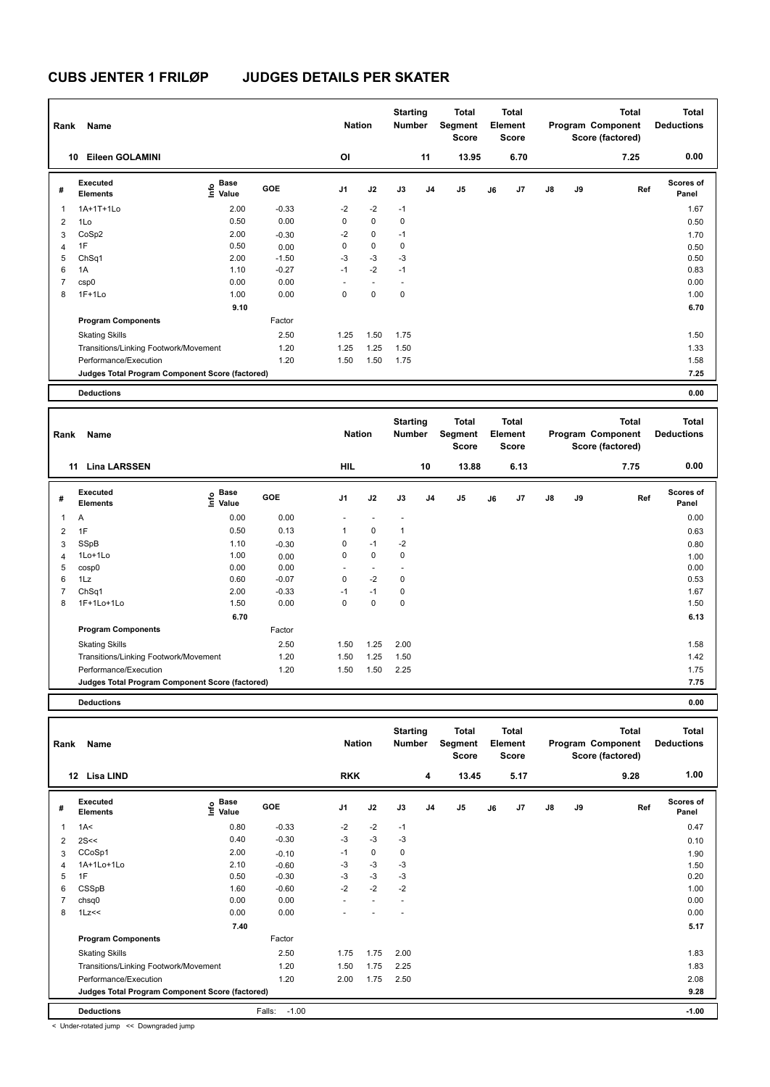| Rank           | Name                                            |                     |         | <b>Nation</b>  |             | <b>Starting</b><br>Number |                | <b>Total</b><br>Segment<br>Score |    | <b>Total</b><br>Element<br><b>Score</b> |               |    | <b>Total</b><br>Program Component<br>Score (factored) | <b>Total</b><br><b>Deductions</b> |
|----------------|-------------------------------------------------|---------------------|---------|----------------|-------------|---------------------------|----------------|----------------------------------|----|-----------------------------------------|---------------|----|-------------------------------------------------------|-----------------------------------|
|                | Eileen GOLAMINI<br>10                           |                     |         | <b>OI</b>      |             |                           | 11             | 13.95                            |    | 6.70                                    |               |    | 7.25                                                  | 0.00                              |
| #              | Executed<br><b>Elements</b>                     | Base<br>١m<br>Value | GOE     | J <sub>1</sub> | J2          | J3                        | J <sub>4</sub> | J5                               | J6 | J7                                      | $\mathsf{J}8$ | J9 | Ref                                                   | <b>Scores of</b><br>Panel         |
| 1              | 1A+1T+1Lo                                       | 2.00                | $-0.33$ | $-2$           | $-2$        | $-1$                      |                |                                  |    |                                         |               |    |                                                       | 1.67                              |
| $\overline{2}$ | 1Lo                                             | 0.50                | 0.00    | 0              | $\mathbf 0$ | 0                         |                |                                  |    |                                         |               |    |                                                       | 0.50                              |
| 3              | CoSp2                                           | 2.00                | $-0.30$ | $-2$           | $\mathbf 0$ | $-1$                      |                |                                  |    |                                         |               |    |                                                       | 1.70                              |
| 4              | 1F                                              | 0.50                | 0.00    | 0              | $\mathbf 0$ | 0                         |                |                                  |    |                                         |               |    |                                                       | 0.50                              |
| 5              | ChSq1                                           | 2.00                | $-1.50$ | $-3$           | $-3$        | -3                        |                |                                  |    |                                         |               |    |                                                       | 0.50                              |
| 6              | 1A                                              | 1.10                | $-0.27$ | $-1$           | $-2$        | $-1$                      |                |                                  |    |                                         |               |    |                                                       | 0.83                              |
| 7              | csp0                                            | 0.00                | 0.00    |                |             |                           |                |                                  |    |                                         |               |    |                                                       | 0.00                              |
| 8              | $1F+1Lo$                                        | 1.00                | 0.00    | 0              | $\mathbf 0$ | $\mathbf 0$               |                |                                  |    |                                         |               |    |                                                       | 1.00                              |
|                |                                                 | 9.10                |         |                |             |                           |                |                                  |    |                                         |               |    |                                                       | 6.70                              |
|                | <b>Program Components</b>                       |                     | Factor  |                |             |                           |                |                                  |    |                                         |               |    |                                                       |                                   |
|                | <b>Skating Skills</b>                           |                     | 2.50    | 1.25           | 1.50        | 1.75                      |                |                                  |    |                                         |               |    |                                                       | 1.50                              |
|                | Transitions/Linking Footwork/Movement           |                     | 1.20    | 1.25           | 1.25        | 1.50                      |                |                                  |    |                                         |               |    |                                                       | 1.33                              |
|                | Performance/Execution                           |                     | 1.20    | 1.50           | 1.50        | 1.75                      |                |                                  |    |                                         |               |    |                                                       | 1.58                              |
|                | Judges Total Program Component Score (factored) |                     |         |                |             |                           |                |                                  |    |                                         |               |    |                                                       | 7.25                              |
|                | <b>Deductions</b>                               |                     |         |                |             |                           |                |                                  |    |                                         |               |    |                                                       | 0.00                              |

| Rank           | Name                                            |                        |         | <b>Nation</b>  |                          | <b>Starting</b><br><b>Number</b> |                | <b>Total</b><br>Segment<br><b>Score</b> |    | <b>Total</b><br>Element<br><b>Score</b> |               |    | <b>Total</b><br>Program Component<br>Score (factored) | <b>Total</b><br><b>Deductions</b> |
|----------------|-------------------------------------------------|------------------------|---------|----------------|--------------------------|----------------------------------|----------------|-----------------------------------------|----|-----------------------------------------|---------------|----|-------------------------------------------------------|-----------------------------------|
|                | <b>Lina LARSSEN</b><br>11                       |                        |         | HIL            |                          |                                  | 10             | 13.88                                   |    | 6.13                                    |               |    | 7.75                                                  | 0.00                              |
| #              | Executed<br><b>Elements</b>                     | $\sum_{i=1}^{5}$ Value | GOE     | J <sub>1</sub> | J2                       | J3                               | J <sub>4</sub> | J5                                      | J6 | J <sub>7</sub>                          | $\mathsf{J}8$ | J9 | Ref                                                   | <b>Scores of</b><br>Panel         |
| $\overline{1}$ | Α                                               | 0.00                   | 0.00    |                |                          |                                  |                |                                         |    |                                         |               |    |                                                       | 0.00                              |
| $\overline{2}$ | 1F                                              | 0.50                   | 0.13    | 1              | $\mathbf 0$              | 1                                |                |                                         |    |                                         |               |    |                                                       | 0.63                              |
| 3              | SSpB                                            | 1.10                   | $-0.30$ | 0              | $-1$                     | $-2$                             |                |                                         |    |                                         |               |    |                                                       | 0.80                              |
| $\overline{4}$ | 1Lo+1Lo                                         | 1.00                   | 0.00    | 0              | $\mathbf 0$              | 0                                |                |                                         |    |                                         |               |    |                                                       | 1.00                              |
| 5              | cosp0                                           | 0.00                   | 0.00    |                | $\overline{\phantom{a}}$ |                                  |                |                                         |    |                                         |               |    |                                                       | 0.00                              |
| 6              | 1Lz                                             | 0.60                   | $-0.07$ | 0              | $-2$                     | 0                                |                |                                         |    |                                         |               |    |                                                       | 0.53                              |
| 7              | ChSq1                                           | 2.00                   | $-0.33$ | $-1$           | $-1$                     | 0                                |                |                                         |    |                                         |               |    |                                                       | 1.67                              |
| 8              | 1F+1Lo+1Lo                                      | 1.50                   | 0.00    | 0              | 0                        | 0                                |                |                                         |    |                                         |               |    |                                                       | 1.50                              |
|                |                                                 | 6.70                   |         |                |                          |                                  |                |                                         |    |                                         |               |    |                                                       | 6.13                              |
|                | <b>Program Components</b>                       |                        | Factor  |                |                          |                                  |                |                                         |    |                                         |               |    |                                                       |                                   |
|                | <b>Skating Skills</b>                           |                        | 2.50    | 1.50           | 1.25                     | 2.00                             |                |                                         |    |                                         |               |    |                                                       | 1.58                              |
|                | Transitions/Linking Footwork/Movement           |                        | 1.20    | 1.50           | 1.25                     | 1.50                             |                |                                         |    |                                         |               |    |                                                       | 1.42                              |
|                | Performance/Execution                           |                        | 1.20    | 1.50           | 1.50                     | 2.25                             |                |                                         |    |                                         |               |    |                                                       | 1.75                              |
|                | Judges Total Program Component Score (factored) |                        |         |                |                          |                                  |                |                                         |    |                                         |               |    |                                                       | 7.75                              |
|                | <b>Deductions</b>                               |                        |         |                |                          |                                  |                |                                         |    |                                         |               |    |                                                       | 0.00                              |

| Rank | Name                                            |                           |                   | <b>Nation</b>  |      | <b>Starting</b><br><b>Number</b> |                | Total<br>Segment<br>Score |    | <b>Total</b><br>Element<br><b>Score</b> |               |    | <b>Total</b><br>Program Component<br>Score (factored) | <b>Total</b><br><b>Deductions</b> |
|------|-------------------------------------------------|---------------------------|-------------------|----------------|------|----------------------------------|----------------|---------------------------|----|-----------------------------------------|---------------|----|-------------------------------------------------------|-----------------------------------|
|      | 12<br>Lisa LIND                                 |                           |                   | <b>RKK</b>     |      |                                  | 4              | 13.45                     |    | 5.17                                    |               |    | 9.28                                                  | 1.00                              |
| #    | Executed<br><b>Elements</b>                     | Base<br>e Base<br>⊆ Value | <b>GOE</b>        | J <sub>1</sub> | J2   | J3                               | J <sub>4</sub> | J <sub>5</sub>            | J6 | J7                                      | $\mathsf{J}8$ | J9 | Ref                                                   | Scores of<br>Panel                |
| 1    | 1A<                                             | 0.80                      | $-0.33$           | $-2$           | $-2$ | $-1$                             |                |                           |    |                                         |               |    |                                                       | 0.47                              |
| 2    | 2S<<                                            | 0.40                      | $-0.30$           | $-3$           | $-3$ | $-3$                             |                |                           |    |                                         |               |    |                                                       | 0.10                              |
| 3    | CCoSp1                                          | 2.00                      | $-0.10$           | $-1$           | 0    | 0                                |                |                           |    |                                         |               |    |                                                       | 1.90                              |
| 4    | 1A+1Lo+1Lo                                      | 2.10                      | $-0.60$           | -3             | $-3$ | $-3$                             |                |                           |    |                                         |               |    |                                                       | 1.50                              |
| 5    | 1F                                              | 0.50                      | $-0.30$           | -3             | $-3$ | $-3$                             |                |                           |    |                                         |               |    |                                                       | 0.20                              |
| 6    | CSSpB                                           | 1.60                      | $-0.60$           | $-2$           | $-2$ | $-2$                             |                |                           |    |                                         |               |    |                                                       | 1.00                              |
|      | chsq0                                           | 0.00                      | 0.00              | ٠              | ÷,   |                                  |                |                           |    |                                         |               |    |                                                       | 0.00                              |
| 8    | 1Lz<<                                           | 0.00                      | 0.00              |                |      | $\overline{\phantom{a}}$         |                |                           |    |                                         |               |    |                                                       | 0.00                              |
|      |                                                 | 7.40                      |                   |                |      |                                  |                |                           |    |                                         |               |    |                                                       | 5.17                              |
|      | <b>Program Components</b>                       |                           | Factor            |                |      |                                  |                |                           |    |                                         |               |    |                                                       |                                   |
|      | <b>Skating Skills</b>                           |                           | 2.50              | 1.75           | 1.75 | 2.00                             |                |                           |    |                                         |               |    |                                                       | 1.83                              |
|      | Transitions/Linking Footwork/Movement           |                           | 1.20              | 1.50           | 1.75 | 2.25                             |                |                           |    |                                         |               |    |                                                       | 1.83                              |
|      | Performance/Execution                           |                           | 1.20              | 2.00           | 1.75 | 2.50                             |                |                           |    |                                         |               |    |                                                       | 2.08                              |
|      | Judges Total Program Component Score (factored) |                           |                   |                |      |                                  |                |                           |    |                                         |               |    |                                                       | 9.28                              |
|      | <b>Deductions</b>                               |                           | $-1.00$<br>Falls: |                |      |                                  |                |                           |    |                                         |               |    |                                                       | $-1.00$                           |

< Under-rotated jump << Downgraded jump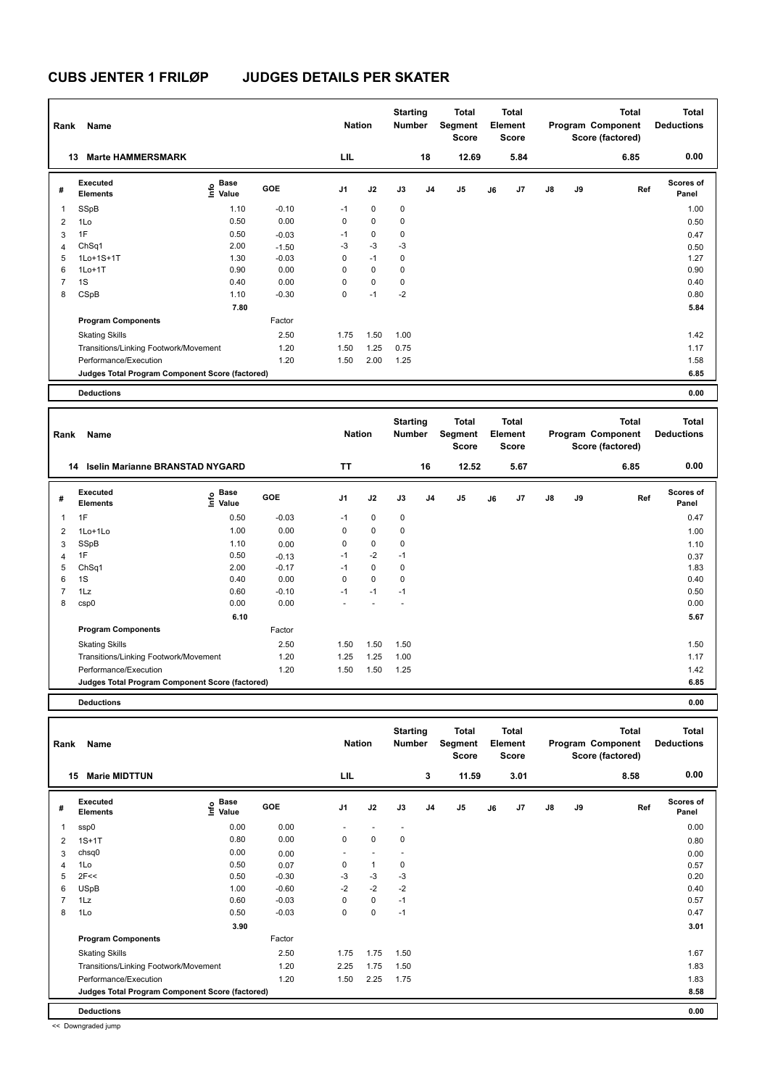| Rank           | Name                                            |                     |            | <b>Nation</b> |             | <b>Starting</b><br><b>Number</b> |                | Total<br>Segment<br><b>Score</b> |    | <b>Total</b><br>Element<br><b>Score</b> |    |    | Total<br>Program Component<br>Score (factored) | <b>Total</b><br><b>Deductions</b> |  |
|----------------|-------------------------------------------------|---------------------|------------|---------------|-------------|----------------------------------|----------------|----------------------------------|----|-----------------------------------------|----|----|------------------------------------------------|-----------------------------------|--|
|                | <b>Marte HAMMERSMARK</b><br>13                  |                     |            | LIL           |             |                                  | 18             | 12.69                            |    | 5.84                                    |    |    | 6.85                                           | 0.00                              |  |
| #              | Executed<br><b>Elements</b>                     | Base<br>١m<br>Value | <b>GOE</b> | J1            | J2          | J3                               | J <sub>4</sub> | J <sub>5</sub>                   | J6 | J7                                      | J8 | J9 | Ref                                            | <b>Scores of</b><br>Panel         |  |
| 1              | SSpB                                            | 1.10                | $-0.10$    | $-1$          | $\mathbf 0$ | $\mathbf 0$                      |                |                                  |    |                                         |    |    |                                                | 1.00                              |  |
| $\overline{2}$ | 1Lo                                             | 0.50                | 0.00       | 0             | $\mathbf 0$ | 0                                |                |                                  |    |                                         |    |    |                                                | 0.50                              |  |
| 3              | 1F                                              | 0.50                | $-0.03$    | $-1$          | $\pmb{0}$   | 0                                |                |                                  |    |                                         |    |    |                                                | 0.47                              |  |
| $\overline{4}$ | ChSq1                                           | 2.00                | $-1.50$    | $-3$          | $-3$        | $-3$                             |                |                                  |    |                                         |    |    |                                                | 0.50                              |  |
| 5              | 1Lo+1S+1T                                       | 1.30                | $-0.03$    | 0             | $-1$        | 0                                |                |                                  |    |                                         |    |    |                                                | 1.27                              |  |
| 6              | $1Lo+1T$                                        | 0.90                | 0.00       | 0             | $\mathbf 0$ | 0                                |                |                                  |    |                                         |    |    |                                                | 0.90                              |  |
| $\overline{7}$ | 1S                                              | 0.40                | 0.00       | 0             | $\mathbf 0$ | 0                                |                |                                  |    |                                         |    |    |                                                | 0.40                              |  |
| 8              | CSpB                                            | 1.10                | $-0.30$    | 0             | $-1$        | $-2$                             |                |                                  |    |                                         |    |    |                                                | 0.80                              |  |
|                |                                                 | 7.80                |            |               |             |                                  |                |                                  |    |                                         |    |    |                                                | 5.84                              |  |
|                | <b>Program Components</b>                       |                     | Factor     |               |             |                                  |                |                                  |    |                                         |    |    |                                                |                                   |  |
|                | <b>Skating Skills</b>                           |                     | 2.50       | 1.75          | 1.50        | 1.00                             |                |                                  |    |                                         |    |    |                                                | 1.42                              |  |
|                | Transitions/Linking Footwork/Movement           |                     | 1.20       | 1.50          | 1.25        | 0.75                             |                |                                  |    |                                         |    |    |                                                | 1.17                              |  |
|                | Performance/Execution                           |                     | 1.20       | 1.50          | 2.00        | 1.25                             |                |                                  |    |                                         |    |    |                                                | 1.58                              |  |
|                | Judges Total Program Component Score (factored) |                     |            |               |             |                                  |                |                                  |    |                                         |    |    |                                                | 6.85                              |  |
|                | <b>Deductions</b>                               |                     |            |               |             |                                  |                |                                  |    |                                         |    |    |                                                | 0.00                              |  |

| Rank           | Name                                            |                                     | <b>Nation</b> |                | <b>Starting</b><br><b>Number</b> | <b>Total</b><br>Segment<br><b>Score</b> | <b>Total</b><br>Element<br><b>Score</b> |                |    |      | <b>Total</b><br>Program Component<br>Score (factored) | <b>Total</b><br><b>Deductions</b> |      |                           |
|----------------|-------------------------------------------------|-------------------------------------|---------------|----------------|----------------------------------|-----------------------------------------|-----------------------------------------|----------------|----|------|-------------------------------------------------------|-----------------------------------|------|---------------------------|
|                | <b>Iselin Marianne BRANSTAD NYGARD</b><br>14    |                                     |               | <b>TT</b>      |                                  |                                         | 16                                      | 12.52          |    | 5.67 |                                                       |                                   | 6.85 | 0.00                      |
| #              | Executed<br><b>Elements</b>                     | $\epsilon$ Base<br>$\epsilon$ Value | <b>GOE</b>    | J <sub>1</sub> | J2                               | J3                                      | J <sub>4</sub>                          | J <sub>5</sub> | J6 | J7   | $\mathsf{J}8$                                         | J9                                | Ref  | <b>Scores of</b><br>Panel |
| $\overline{1}$ | 1F                                              | 0.50                                | $-0.03$       | $-1$           | 0                                | 0                                       |                                         |                |    |      |                                                       |                                   |      | 0.47                      |
| $\overline{2}$ | $1$ Lo $+1$ Lo                                  | 1.00                                | 0.00          | 0              | 0                                | 0                                       |                                         |                |    |      |                                                       |                                   |      | 1.00                      |
| 3              | SSpB                                            | 1.10                                | 0.00          | 0              | $\mathbf 0$                      | 0                                       |                                         |                |    |      |                                                       |                                   |      | 1.10                      |
| 4              | 1F                                              | 0.50                                | $-0.13$       | $-1$           | $-2$                             | $-1$                                    |                                         |                |    |      |                                                       |                                   |      | 0.37                      |
| 5              | ChSq1                                           | 2.00                                | $-0.17$       | $-1$           | $\mathbf 0$                      | 0                                       |                                         |                |    |      |                                                       |                                   |      | 1.83                      |
| 6              | 1S                                              | 0.40                                | 0.00          | 0              | $\mathbf 0$                      | 0                                       |                                         |                |    |      |                                                       |                                   |      | 0.40                      |
| $\overline{7}$ | 1Lz                                             | 0.60                                | $-0.10$       | $-1$           | $-1$                             | $-1$                                    |                                         |                |    |      |                                                       |                                   |      | 0.50                      |
| 8              | csp0                                            | 0.00                                | 0.00          |                |                                  |                                         |                                         |                |    |      |                                                       |                                   |      | 0.00                      |
|                |                                                 | 6.10                                |               |                |                                  |                                         |                                         |                |    |      |                                                       |                                   |      | 5.67                      |
|                | <b>Program Components</b>                       |                                     | Factor        |                |                                  |                                         |                                         |                |    |      |                                                       |                                   |      |                           |
|                | <b>Skating Skills</b>                           |                                     | 2.50          | 1.50           | 1.50                             | 1.50                                    |                                         |                |    |      |                                                       |                                   |      | 1.50                      |
|                | Transitions/Linking Footwork/Movement           |                                     | 1.20          | 1.25           | 1.25                             | 1.00                                    |                                         |                |    |      |                                                       |                                   |      | 1.17                      |
|                | Performance/Execution                           |                                     | 1.20          | 1.50           | 1.50                             | 1.25                                    |                                         |                |    |      |                                                       |                                   |      | 1.42                      |
|                | Judges Total Program Component Score (factored) |                                     |               |                |                                  |                                         |                                         |                |    |      |                                                       |                                   |      | 6.85                      |
|                | <b>Deductions</b>                               |                                     |               |                |                                  |                                         |                                         |                |    |      |                                                       |                                   |      | 0.00                      |

| Rank           | Name                                            |                       |         | <b>Nation</b>  |              | <b>Starting</b><br><b>Number</b> |                | <b>Total</b><br>Segment<br><b>Score</b> |    | <b>Total</b><br>Element<br><b>Score</b> |               |    | <b>Total</b><br>Program Component<br>Score (factored) | <b>Total</b><br><b>Deductions</b> |
|----------------|-------------------------------------------------|-----------------------|---------|----------------|--------------|----------------------------------|----------------|-----------------------------------------|----|-----------------------------------------|---------------|----|-------------------------------------------------------|-----------------------------------|
|                | <b>Marie MIDTTUN</b><br>15                      |                       |         | LIL            |              |                                  | 3              | 11.59                                   |    | 3.01                                    |               |    | 8.58                                                  | 0.00                              |
| #              | Executed<br><b>Elements</b>                     | Base<br>١nf٥<br>Value | GOE     | J <sub>1</sub> | J2           | J3                               | J <sub>4</sub> | J5                                      | J6 | J7                                      | $\mathsf{J}8$ | J9 | Ref                                                   | <b>Scores of</b><br>Panel         |
| 1              | ssp0                                            | 0.00                  | 0.00    |                |              | $\overline{\phantom{a}}$         |                |                                         |    |                                         |               |    |                                                       | 0.00                              |
| $\overline{2}$ | $1S+1T$                                         | 0.80                  | 0.00    | 0              | $\mathbf 0$  | 0                                |                |                                         |    |                                         |               |    |                                                       | 0.80                              |
| 3              | chsq0                                           | 0.00                  | 0.00    |                |              |                                  |                |                                         |    |                                         |               |    |                                                       | 0.00                              |
| 4              | 1Lo                                             | 0.50                  | 0.07    | 0              | $\mathbf{1}$ | 0                                |                |                                         |    |                                         |               |    |                                                       | 0.57                              |
| 5              | 2F<<                                            | 0.50                  | $-0.30$ | $-3$           | $-3$         | -3                               |                |                                         |    |                                         |               |    |                                                       | 0.20                              |
| 6              | <b>USpB</b>                                     | 1.00                  | $-0.60$ | $-2$           | $-2$         | $-2$                             |                |                                         |    |                                         |               |    |                                                       | 0.40                              |
| 7              | 1Lz                                             | 0.60                  | $-0.03$ | $\mathbf 0$    | $\mathbf 0$  | $-1$                             |                |                                         |    |                                         |               |    |                                                       | 0.57                              |
| 8              | 1Lo                                             | 0.50                  | $-0.03$ | 0              | $\pmb{0}$    | $-1$                             |                |                                         |    |                                         |               |    |                                                       | 0.47                              |
|                |                                                 | 3.90                  |         |                |              |                                  |                |                                         |    |                                         |               |    |                                                       | 3.01                              |
|                | <b>Program Components</b>                       |                       | Factor  |                |              |                                  |                |                                         |    |                                         |               |    |                                                       |                                   |
|                | <b>Skating Skills</b>                           |                       | 2.50    | 1.75           | 1.75         | 1.50                             |                |                                         |    |                                         |               |    |                                                       | 1.67                              |
|                | Transitions/Linking Footwork/Movement           |                       | 1.20    | 2.25           | 1.75         | 1.50                             |                |                                         |    |                                         |               |    |                                                       | 1.83                              |
|                | Performance/Execution                           |                       | 1.20    | 1.50           | 2.25         | 1.75                             |                |                                         |    |                                         |               |    |                                                       | 1.83                              |
|                | Judges Total Program Component Score (factored) |                       |         |                |              |                                  |                |                                         |    |                                         |               |    |                                                       | 8.58                              |
|                | <b>Deductions</b>                               |                       |         |                |              |                                  |                |                                         |    |                                         |               |    |                                                       | 0.00                              |

<< Downgraded jump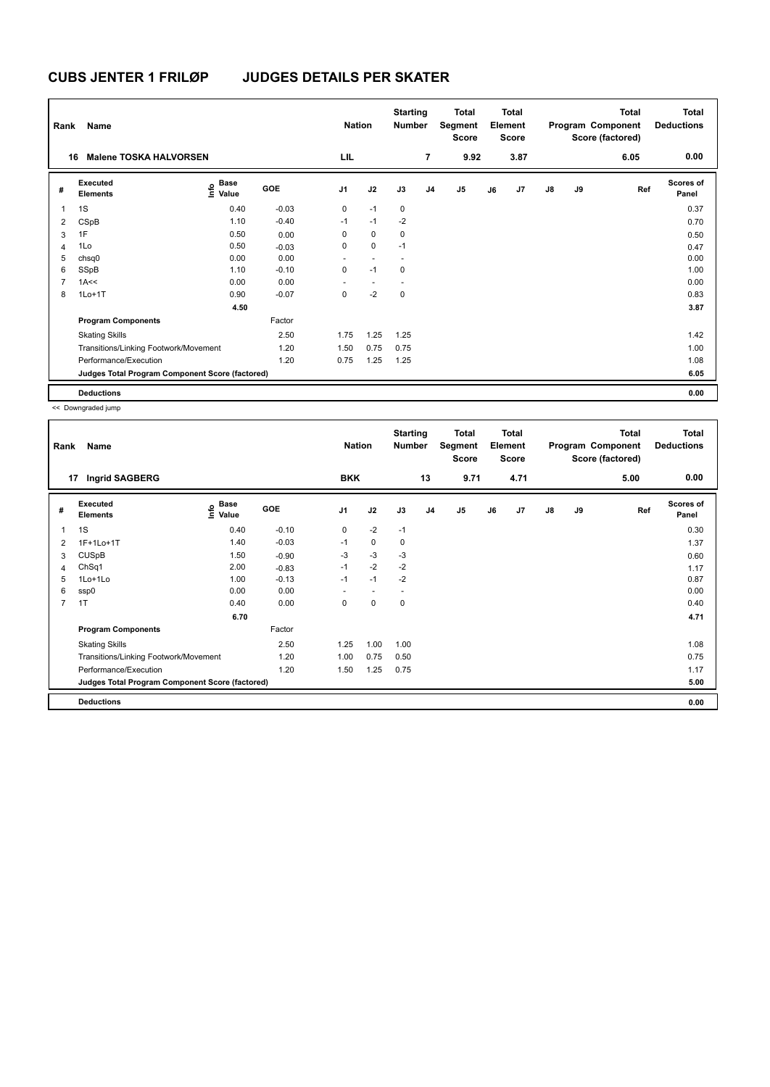| Rank | Name                                            |                                  |            | <b>Nation</b>  |                          | <b>Starting</b><br><b>Number</b> |                | Total<br>Segment<br><b>Score</b> |    | <b>Total</b><br>Element<br><b>Score</b> |               |    | <b>Total</b><br>Program Component<br>Score (factored) | Total<br><b>Deductions</b> |
|------|-------------------------------------------------|----------------------------------|------------|----------------|--------------------------|----------------------------------|----------------|----------------------------------|----|-----------------------------------------|---------------|----|-------------------------------------------------------|----------------------------|
|      | <b>Malene TOSKA HALVORSEN</b><br>16             |                                  |            | LIL            |                          |                                  | $\overline{7}$ | 9.92                             |    | 3.87                                    |               |    | 6.05                                                  | 0.00                       |
| #    | Executed<br><b>Elements</b>                     | <b>Base</b><br>o Base<br>E Value | <b>GOE</b> | J <sub>1</sub> | J2                       | J3                               | J <sub>4</sub> | J <sub>5</sub>                   | J6 | J7                                      | $\mathsf{J}8$ | J9 | Ref                                                   | <b>Scores of</b><br>Panel  |
| 1    | 1S                                              | 0.40                             | $-0.03$    | 0              | $-1$                     | 0                                |                |                                  |    |                                         |               |    |                                                       | 0.37                       |
| 2    | CSpB                                            | 1.10                             | $-0.40$    | $-1$           | $-1$                     | $-2$                             |                |                                  |    |                                         |               |    |                                                       | 0.70                       |
| 3    | 1F                                              | 0.50                             | 0.00       | 0              | $\Omega$                 | 0                                |                |                                  |    |                                         |               |    |                                                       | 0.50                       |
| 4    | 1Lo                                             | 0.50                             | $-0.03$    | 0              | $\mathbf 0$              | $-1$                             |                |                                  |    |                                         |               |    |                                                       | 0.47                       |
| 5    | chsq0                                           | 0.00                             | 0.00       | ٠              | $\overline{\phantom{a}}$ |                                  |                |                                  |    |                                         |               |    |                                                       | 0.00                       |
| 6    | SSpB                                            | 1.10                             | $-0.10$    | 0              | $-1$                     | 0                                |                |                                  |    |                                         |               |    |                                                       | 1.00                       |
| 7    | 1A<<                                            | 0.00                             | 0.00       |                | $\overline{\phantom{a}}$ |                                  |                |                                  |    |                                         |               |    |                                                       | 0.00                       |
| 8    | $1Lo+1T$                                        | 0.90                             | $-0.07$    | 0              | $-2$                     | 0                                |                |                                  |    |                                         |               |    |                                                       | 0.83                       |
|      |                                                 | 4.50                             |            |                |                          |                                  |                |                                  |    |                                         |               |    |                                                       | 3.87                       |
|      | <b>Program Components</b>                       |                                  | Factor     |                |                          |                                  |                |                                  |    |                                         |               |    |                                                       |                            |
|      | <b>Skating Skills</b>                           |                                  | 2.50       | 1.75           | 1.25                     | 1.25                             |                |                                  |    |                                         |               |    |                                                       | 1.42                       |
|      | Transitions/Linking Footwork/Movement           |                                  | 1.20       | 1.50           | 0.75                     | 0.75                             |                |                                  |    |                                         |               |    |                                                       | 1.00                       |
|      | Performance/Execution                           |                                  | 1.20       | 0.75           | 1.25                     | 1.25                             |                |                                  |    |                                         |               |    |                                                       | 1.08                       |
|      | Judges Total Program Component Score (factored) |                                  |            |                |                          |                                  |                |                                  |    |                                         |               |    |                                                       | 6.05                       |
|      | <b>Deductions</b>                               |                                  |            |                |                          |                                  |                |                                  |    |                                         |               |    |                                                       | 0.00                       |

<< Downgraded jump

| Rank           | Name                                            |                                           | <b>Nation</b> |                | <b>Starting</b><br><b>Number</b> | Total<br>Segment<br><b>Score</b> | <b>Total</b><br>Element<br><b>Score</b> |      |    |      | Total<br>Program Component<br>Score (factored) | <b>Total</b><br><b>Deductions</b> |      |                           |
|----------------|-------------------------------------------------|-------------------------------------------|---------------|----------------|----------------------------------|----------------------------------|-----------------------------------------|------|----|------|------------------------------------------------|-----------------------------------|------|---------------------------|
| 17             | <b>Ingrid SAGBERG</b>                           |                                           |               | <b>BKK</b>     |                                  |                                  | 13                                      | 9.71 |    | 4.71 |                                                |                                   | 5.00 | 0.00                      |
| #              | <b>Executed</b><br><b>Elements</b>              | $\frac{e}{E}$ Base<br>$\frac{e}{E}$ Value | <b>GOE</b>    | J <sub>1</sub> | J2                               | J3                               | J <sub>4</sub>                          | J5   | J6 | J7   | $\mathsf{J}8$                                  | J9                                | Ref  | <b>Scores of</b><br>Panel |
| 1              | 1S                                              | 0.40                                      | $-0.10$       | 0              | $-2$                             | $-1$                             |                                         |      |    |      |                                                |                                   |      | 0.30                      |
| 2              | 1F+1Lo+1T                                       | 1.40                                      | $-0.03$       | $-1$           | 0                                | 0                                |                                         |      |    |      |                                                |                                   |      | 1.37                      |
| 3              | CUSpB                                           | 1.50                                      | $-0.90$       | $-3$           | $-3$                             | $-3$                             |                                         |      |    |      |                                                |                                   |      | 0.60                      |
| 4              | ChSq1                                           | 2.00                                      | $-0.83$       | $-1$           | $-2$                             | $-2$                             |                                         |      |    |      |                                                |                                   |      | 1.17                      |
| 5              | $1$ Lo $+1$ Lo                                  | 1.00                                      | $-0.13$       | $-1$           | $-1$                             | $-2$                             |                                         |      |    |      |                                                |                                   |      | 0.87                      |
| 6              | ssp0                                            | 0.00                                      | 0.00          |                |                                  |                                  |                                         |      |    |      |                                                |                                   |      | 0.00                      |
| $\overline{7}$ | 1T                                              | 0.40                                      | 0.00          | 0              | 0                                | 0                                |                                         |      |    |      |                                                |                                   |      | 0.40                      |
|                |                                                 | 6.70                                      |               |                |                                  |                                  |                                         |      |    |      |                                                |                                   |      | 4.71                      |
|                | <b>Program Components</b>                       |                                           | Factor        |                |                                  |                                  |                                         |      |    |      |                                                |                                   |      |                           |
|                | <b>Skating Skills</b>                           |                                           | 2.50          | 1.25           | 1.00                             | 1.00                             |                                         |      |    |      |                                                |                                   |      | 1.08                      |
|                | Transitions/Linking Footwork/Movement           |                                           | 1.20          | 1.00           | 0.75                             | 0.50                             |                                         |      |    |      |                                                |                                   |      | 0.75                      |
|                | Performance/Execution                           |                                           | 1.20          | 1.50           | 1.25                             | 0.75                             |                                         |      |    |      |                                                |                                   |      | 1.17                      |
|                | Judges Total Program Component Score (factored) |                                           |               |                |                                  |                                  |                                         |      |    |      |                                                |                                   |      | 5.00                      |
|                | <b>Deductions</b>                               |                                           |               |                |                                  |                                  |                                         |      |    |      |                                                |                                   |      | 0.00                      |